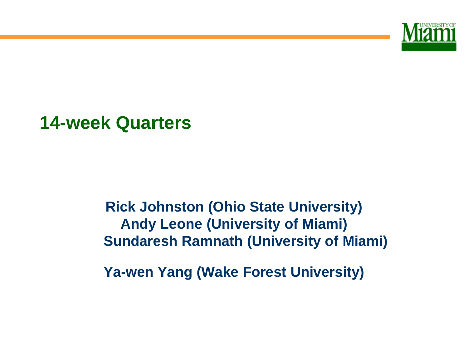

#### **14-week Quarters**

#### **Rick Johnston (Ohio State University) Andy Leone (University of Miami) Sundaresh Ramnath (University of Miami)**

**Ya-wen Yang (Wake Forest University)**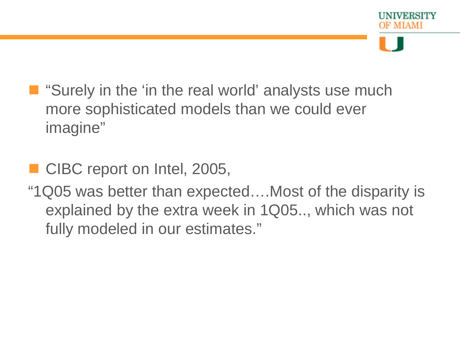- "Surely in the 'in the real world' analysts use much more sophisticated models than we could ever imagine"
- CIBC report on Intel, 2005,
- "1Q05 was better than expected….Most of the disparity is explained by the extra week in 1Q05.., which was not fully modeled in our estimates."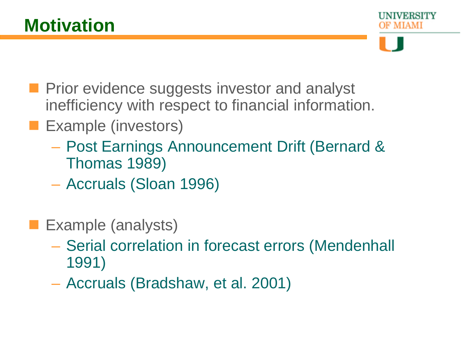- 
- **Prior evidence suggests investor and analyst** inefficiency with respect to financial information.
- **Example (investors)** 
	- Post Earnings Announcement Drift (Bernard & Thomas 1989)
	- Accruals (Sloan 1996)
- **Example (analysts)** 
	- Serial correlation in forecast errors (Mendenhall 1991)
	- Accruals (Bradshaw, et al. 2001)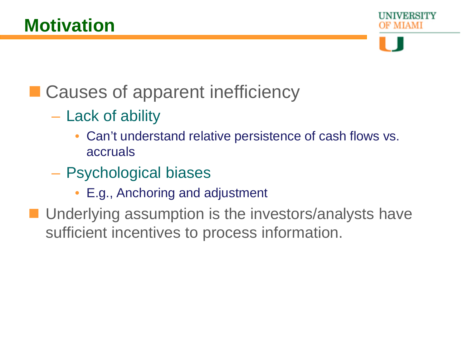

## ■ Causes of apparent inefficiency

- Lack of ability
	- Can't understand relative persistence of cash flows vs. accruals
- Psychological biases
	- E.g., Anchoring and adjustment
- **Underlying assumption is the investors/analysts have** sufficient incentives to process information.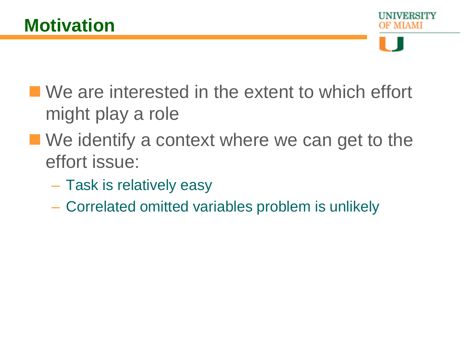

- We are interested in the extent to which effort might play a role
- We identify a context where we can get to the effort issue:
	- Task is relatively easy
	- Correlated omitted variables problem is unlikely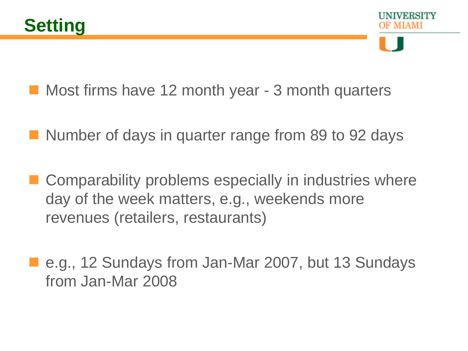- Most firms have 12 month year 3 month quarters
- Number of days in quarter range from 89 to 92 days
- Comparability problems especially in industries where day of the week matters, e.g., weekends more revenues (retailers, restaurants)
- e.g., 12 Sundays from Jan-Mar 2007, but 13 Sundays from Jan-Mar 2008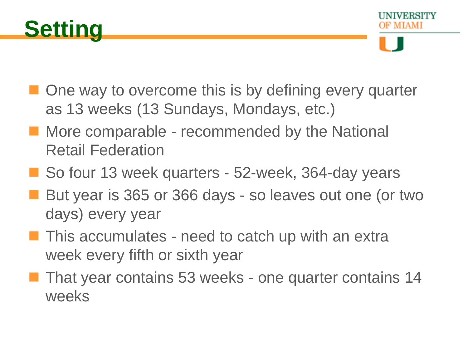

- One way to overcome this is by defining every quarter as 13 weeks (13 Sundays, Mondays, etc.)
- **More comparable recommended by the National** Retail Federation
- So four 13 week quarters 52-week, 364-day years
- But year is 365 or 366 days so leaves out one (or two days) every year
- **This accumulates need to catch up with an extra** week every fifth or sixth year
- That year contains 53 weeks one quarter contains 14 weeks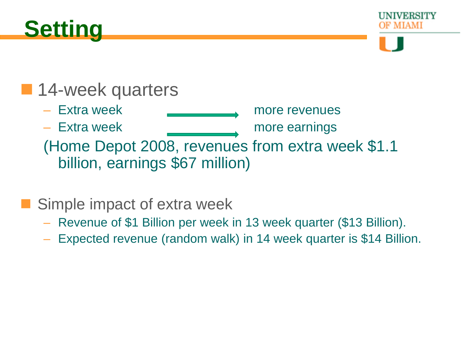



#### **14-week quarters**

- Extra week more revenues
- Extra week <u>more earnings</u>
- 

(Home Depot 2008, revenues from extra week \$1.1 billion, earnings \$67 million)

#### Simple impact of extra week

- Revenue of \$1 Billion per week in 13 week quarter (\$13 Billion).
- Expected revenue (random walk) in 14 week quarter is \$14 Billion.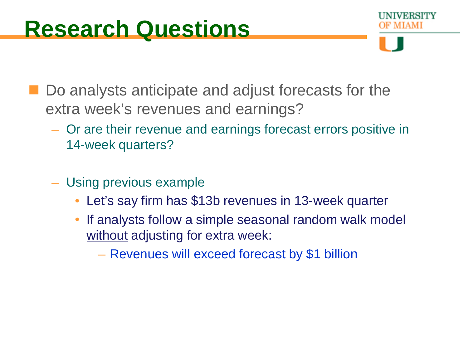- Do analysts anticipate and adjust forecasts for the extra week's revenues and earnings?
	- Or are their revenue and earnings forecast errors positive in 14-week quarters?
	- Using previous example
		- Let's say firm has \$13b revenues in 13-week quarter
		- If analysts follow a simple seasonal random walk model without adjusting for extra week:
			- Revenues will exceed forecast by \$1 billion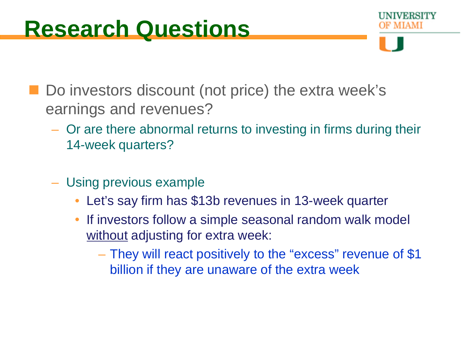## **Research Questions**

Do investors discount (not price) the extra week's earnings and revenues?

- Or are there abnormal returns to investing in firms during their 14-week quarters?
- Using previous example
	- Let's say firm has \$13b revenues in 13-week quarter
	- If investors follow a simple seasonal random walk model without adjusting for extra week:
		- They will react positively to the "excess" revenue of \$1 billion if they are unaware of the extra week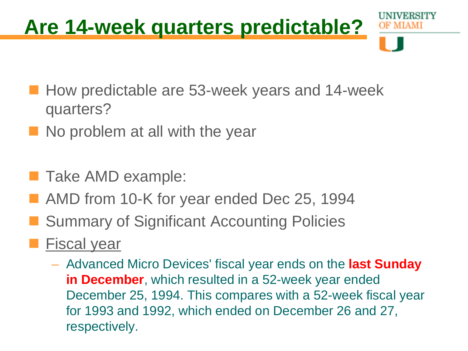## **Are 14-week quarters predictable?**

- How predictable are 53-week years and 14-week quarters?
- No problem at all with the year
- Take AMD example:
- AMD from 10-K for year ended Dec 25, 1994
- Summary of Significant Accounting Policies
- Fiscal year
	- Advanced Micro Devices' fiscal year ends on the **last Sunday in December**, which resulted in a 52-week year ended December 25, 1994. This compares with a 52-week fiscal year for 1993 and 1992, which ended on December 26 and 27, respectively.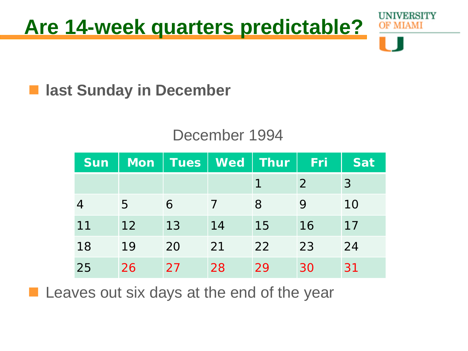

#### $\blacksquare$  **last Sunday in December**

#### December 1994

| <b>Sun</b> | <b>Mon</b> | <b>Tues</b> | <b>Wed</b> | <b>Thur</b> | Fri | <b>Sat</b> |
|------------|------------|-------------|------------|-------------|-----|------------|
|            |            |             |            |             | 2   | 3          |
|            | 5          | 6           |            | 8           | 9   | 10         |
| 11         | 12         | 13          | 14         | 15          | 16  | 17         |
| 18         | 19         | 20          | 21         | 22          | 23  | 24         |
| 25         | 26         | 27          | 28         | 29          | 30  | 31         |

**Leaves out six days at the end of the year**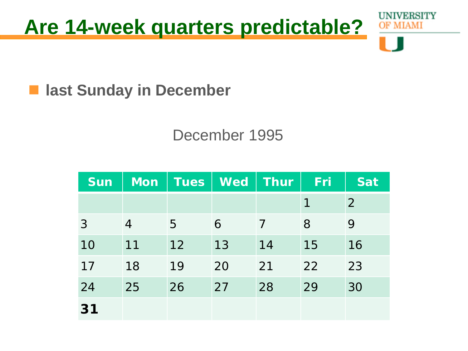

 $\blacksquare$  **last Sunday in December** 

#### December 1995

| <b>Sun</b> | Mon            | <b>Tues</b> | <b>Wed</b> | Thur | Fri | <b>Sat</b> |
|------------|----------------|-------------|------------|------|-----|------------|
|            |                |             |            |      | 1   | 2          |
| 3          | $\overline{4}$ | 5           | 6          | 7    | 8   | 9          |
| 10         | 11             | 12          | 13         | 14   | 15  | 16         |
| 17         | 18             | 19          | 20         | 21   | 22  | 23         |
| 24         | 25             | 26          | 27         | 28   | 29  | 30         |
| 31         |                |             |            |      |     |            |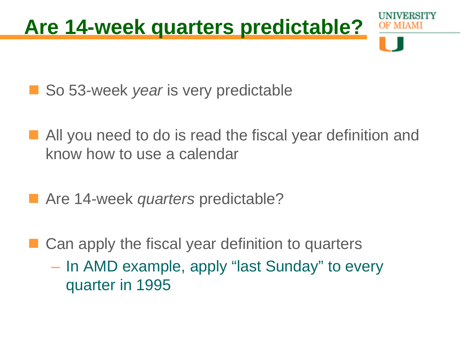

- So 53-week *year* is very predictable
- All you need to do is read the fiscal year definition and know how to use a calendar
- Are 14-week *quarters* predictable?
- Can apply the fiscal year definition to quarters
	- In AMD example, apply "last Sunday" to every quarter in 1995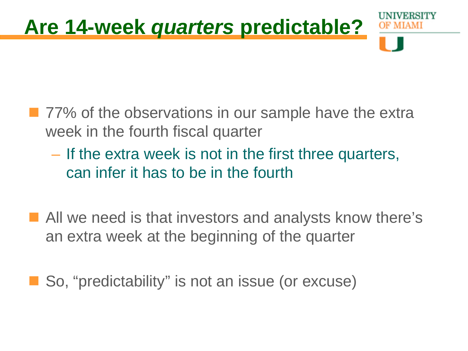

- 77% of the observations in our sample have the extra week in the fourth fiscal quarter
	- If the extra week is not in the first three quarters, can infer it has to be in the fourth
- All we need is that investors and analysts know there's an extra week at the beginning of the quarter

So, "predictability" is not an issue (or excuse)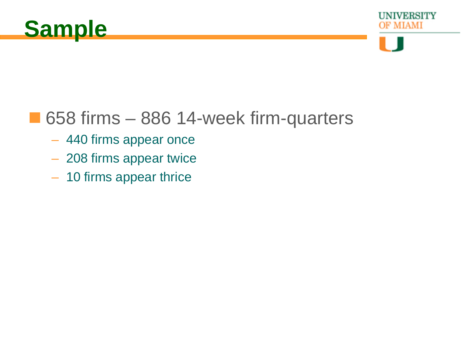



#### ■ 658 firms – 886 14-week firm-quarters

- 440 firms appear once
- 208 firms appear twice
- 10 firms appear thrice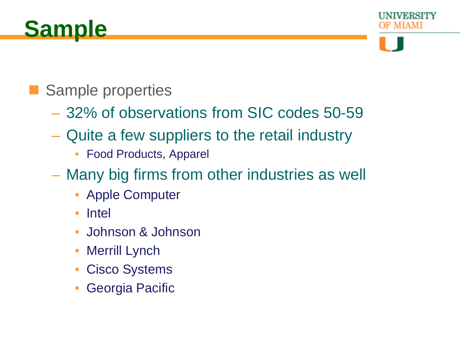

#### Sample properties

- 32% of observations from SIC codes 50-59
- Quite a few suppliers to the retail industry
	- Food Products, Apparel
- Many big firms from other industries as well
	- Apple Computer
	- Intel
	- Johnson & Johnson
	- **Merrill Lynch**
	- Cisco Systems
	- Georgia Pacific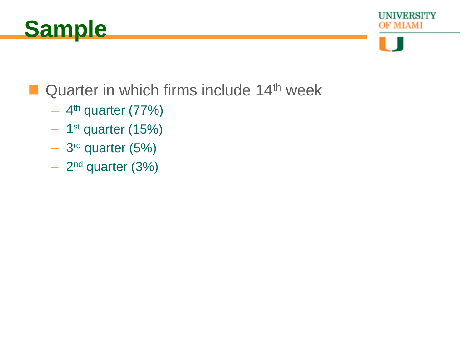



UNIVERSITY MIAMI

#### Quarter in which firms include  $14<sup>th</sup>$  week

- $-4$ <sup>th</sup> quarter (77%)
- 1st quarter (15%)
- 3rd quarter (5%)
- 2nd quarter (3%)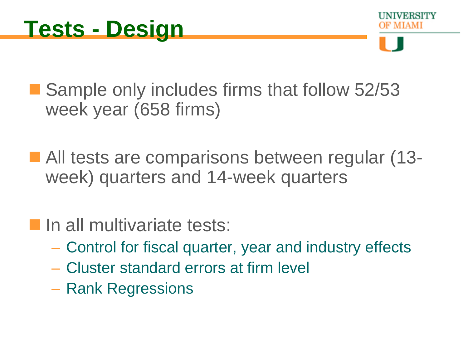■ Sample only includes firms that follow 52/53 week year (658 firms)

■ All tests are comparisons between regular (13week) quarters and 14-week quarters

**In all multivariate tests:** 

- Control for fiscal quarter, year and industry effects
- Cluster standard errors at firm level
- Rank Regressions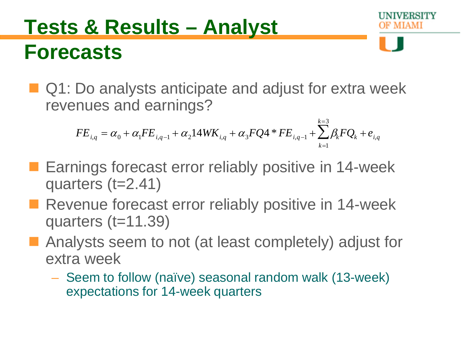## **Tests & Results – Analyst Forecasts**

■ Q1: Do analysts anticipate and adjust for extra week revenues and earnings?

$$
FE_{i,q} = \alpha_0 + \alpha_1 FE_{i,q-1} + \alpha_2 14WK_{i,q} + \alpha_3 FQ4 * FE_{i,q-1} + \sum_{k=1}^{k=3} \beta_k FQ_k + e_{i,q}
$$

- **Earnings forecast error reliably positive in 14-week** quarters (t=2.41)
- Revenue forecast error reliably positive in 14-week quarters (t=11.39)
- **Analysts seem to not (at least completely) adjust for** extra week
	- Seem to follow (naïve) seasonal random walk (13-week) expectations for 14-week quarters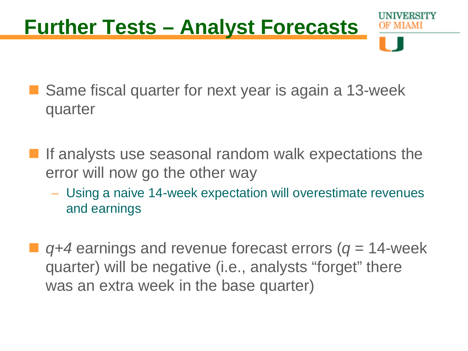# **Further Tests – Analyst Forecasts**

- Same fiscal quarter for next year is again a 13-week quarter
- If analysts use seasonal random walk expectations the error will now go the other way
	- Using a naive 14-week expectation will overestimate revenues and earnings
- *q+4* earnings and revenue forecast errors (*q* = 14-week quarter) will be negative (i.e., analysts "forget" there was an extra week in the base quarter)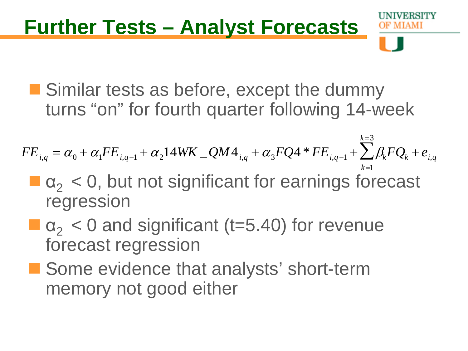## **Further Tests – Analyst Forecasts**

**Similar tests as before, except the dummy** turns "on" for fourth quarter following 14-week

 $FE_{i,q} = \alpha_{0} + \alpha_{1}FE_{i,q-1} + \alpha_{2}14WK\_QM4_{i,q} + \alpha_{3}FQ4*FE_{i,q-1} + \sum \beta_{k}FQ_{k}$ *k*=1 *k*=3  $\sum \beta_k F Q_k + e_{i,q}$ 

- $\blacksquare$   $\alpha$ <sub>2</sub> < 0, but not significant for earnings forecast regression
- $\blacksquare$   $\alpha$ <sub>2</sub> < 0 and significant (t=5.40) for revenue forecast regression
- Some evidence that analysts' short-term memory not good either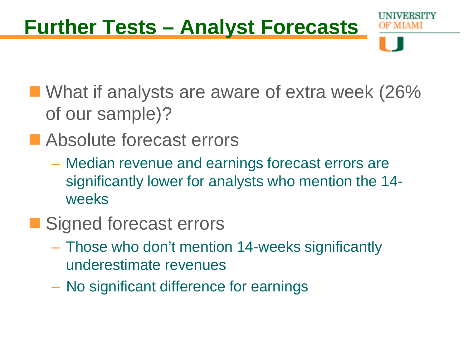## **Further Tests – Analyst Forecasts**

- **Not IVe analysts are aware of extra week (26%** of our sample)?
- **E** Absolute forecast errors
	- Median revenue and earnings forecast errors are significantly lower for analysts who mention the 14 weeks
- Signed forecast errors
	- Those who don't mention 14-weeks significantly underestimate revenues
	- No significant difference for earnings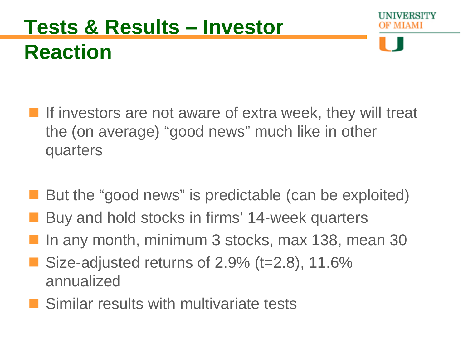## **Tests & Results – Investor Reaction**

- **If investors are not aware of extra week, they will treat** the (on average) "good news" much like in other quarters
- But the "good news" is predictable (can be exploited)
- Buy and hold stocks in firms' 14-week quarters
- In any month, minimum 3 stocks, max 138, mean 30
- Size-adjusted returns of  $2.9\%$  (t=2.8), 11.6% annualized
- **Similar results with multivariate tests**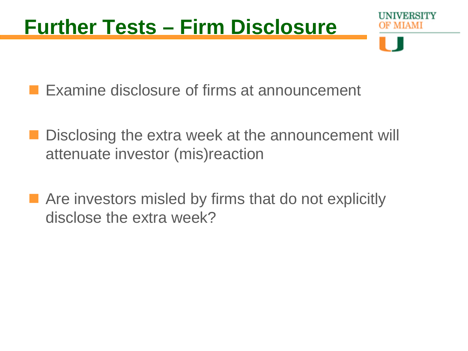## **Further Tests – Firm Disclosure**

**Examine disclosure of firms at announcement** 

- Disclosing the extra week at the announcement will attenuate investor (mis)reaction
- Are investors misled by firms that do not explicitly disclose the extra week?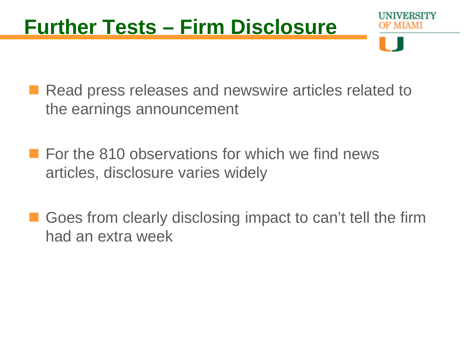## **Further Tests – Firm Disclosure**

- Read press releases and newswire articles related to the earnings announcement
- **For the 810 observations for which we find news** articles, disclosure varies widely
- Goes from clearly disclosing impact to can't tell the firm had an extra week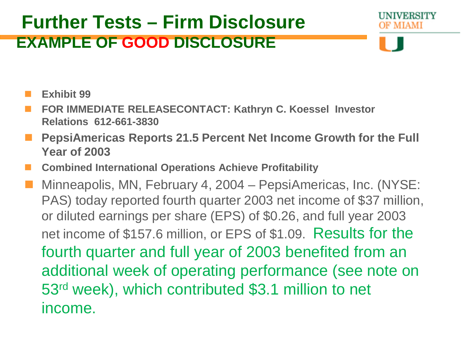#### **Further Tests – Firm Disclosure EXAMPLE OF GOOD DISCLOSURE**

IVERSITY

- **Exhibit 99**
- **FOR IMMEDIATE RELEASECONTACT: Kathryn C. Koessel Investor Relations 612-661-3830**
- **PepsiAmericas Reports 21.5 Percent Net Income Growth for the Full Year of 2003**
- **Combined International Operations Achieve Profitability**
- Minneapolis, MN, February 4, 2004 PepsiAmericas, Inc. (NYSE: PAS) today reported fourth quarter 2003 net income of \$37 million, or diluted earnings per share (EPS) of \$0.26, and full year 2003 net income of \$157.6 million, or EPS of \$1.09. Results for the fourth quarter and full year of 2003 benefited from an additional week of operating performance (see note on 53rd week), which contributed \$3.1 million to net income.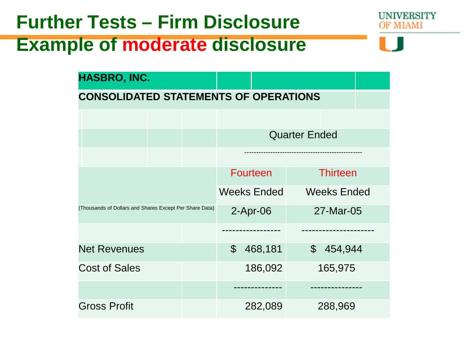### **Further Tests – Firm Disclosure Example of moderate disclosure**

| HASBRO, INC.                                            |  |               |                      |         |                    |         |  |
|---------------------------------------------------------|--|---------------|----------------------|---------|--------------------|---------|--|
| <b>CONSOLIDATED STATEMENTS OF OPERATIONS</b>            |  |               |                      |         |                    |         |  |
|                                                         |  |               |                      |         |                    |         |  |
|                                                         |  |               | <b>Quarter Ended</b> |         |                    |         |  |
|                                                         |  |               |                      |         |                    |         |  |
|                                                         |  |               | <b>Fourteen</b>      |         | <b>Thirteen</b>    |         |  |
|                                                         |  |               | <b>Weeks Ended</b>   |         | <b>Weeks Ended</b> |         |  |
| (Thousands of Dollars and Shares Except Per Share Data) |  |               | $2-Apr-06$           |         | 27-Mar-05          |         |  |
|                                                         |  |               |                      |         |                    |         |  |
| <b>Net Revenues</b>                                     |  | $\mathcal{C}$ | 468,181              |         | \$454,944          |         |  |
| <b>Cost of Sales</b>                                    |  |               |                      | 186,092 |                    | 165,975 |  |
|                                                         |  |               |                      |         |                    |         |  |
| <b>Gross Profit</b>                                     |  |               | 282,089              |         | 288,969            |         |  |

UNIVERSITY MIAMI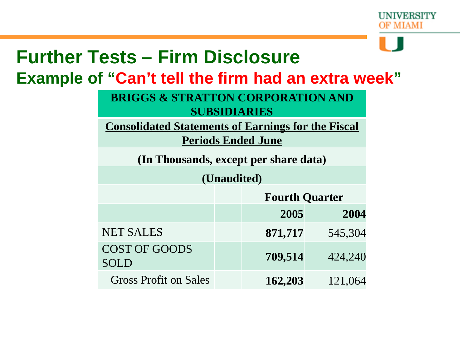

## **Further Tests – Firm Disclosure**

**Example of "Can't tell the firm had an extra week"**

**BRIGGS & STRATTON CORPORATION AND SUBSIDIARIES**

**Consolidated Statements of Earnings for the Fiscal** 

**Periods Ended June**

**(In Thousands, except per share data)**

**(Unaudited)**

|                              | <b>Fourth Quarter</b> |         |  |
|------------------------------|-----------------------|---------|--|
|                              | 2005                  | 2004    |  |
| <b>NET SALES</b>             | 871,717               | 545,304 |  |
| <b>COST OF GOODS</b><br>SOLD | 709,514               | 424,240 |  |
| <b>Gross Profit on Sales</b> | 162,203               | 121,064 |  |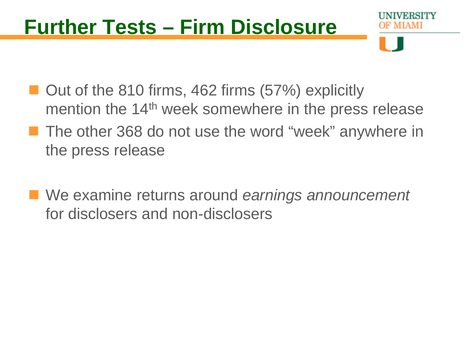## **Further Tests – Firm Disclosure**

- Out of the 810 firms, 462 firms (57%) explicitly mention the 14<sup>th</sup> week somewhere in the press release
- **The other 368 do not use the word "week" anywhere in** the press release
- We examine returns around *earnings announcement* for disclosers and non-disclosers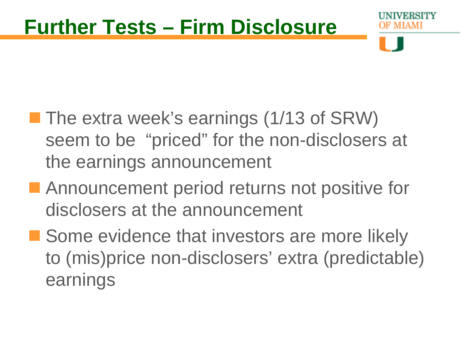- **The extra week's earnings (1/13 of SRW)** seem to be "priced" for the non-disclosers at the earnings announcement
- **Announcement period returns not positive for** disclosers at the announcement
- Some evidence that investors are more likely to (mis)price non-disclosers' extra (predictable) earnings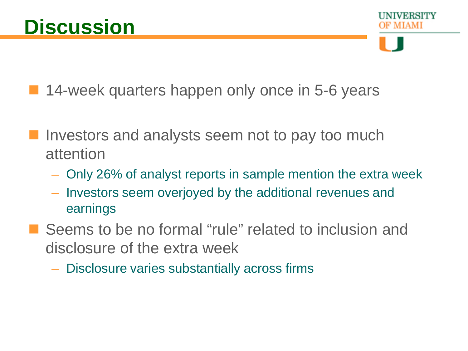14-week quarters happen only once in 5-6 years

- Investors and analysts seem not to pay too much attention
	- Only 26% of analyst reports in sample mention the extra week
	- Investors seem overjoyed by the additional revenues and earnings
- Seems to be no formal "rule" related to inclusion and disclosure of the extra week
	- Disclosure varies substantially across firms